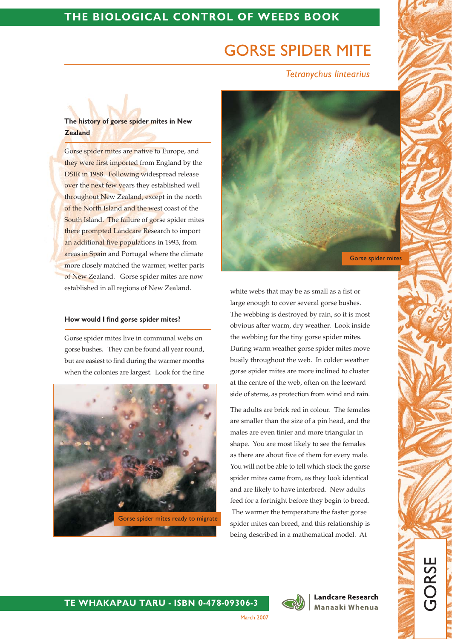# **GORSE SPIDER MITE**

**Tetranychus lintearius** 

# The history of gorse spider mites in New **Zealand**

Gorse spider mites are native to Europe, and they were first imported from England by the DSIR in 1988. Following widespread release over the next few years they established well throughout New Zealand, except in the north of the North Island and the west coast of the South Island. The failure of gorse spider mites there prompted Landcare Research to import an additional five populations in 1993, from areas in Spain and Portugal where the climate more closely matched the warmer, wetter parts of New Zealand. Gorse spider mites are now established in all regions of New Zealand.

## How would I find gorse spider mites?

Gorse spider mites live in communal webs on gorse bushes. They can be found all year round, but are easiest to find during the warmer months when the colonies are largest. Look for the fine





white webs that may be as small as a fist or large enough to cover several gorse bushes. The webbing is destroyed by rain, so it is most obvious after warm, dry weather. Look inside the webbing for the tiny gorse spider mites. During warm weather gorse spider mites move busily throughout the web. In colder weather gorse spider mites are more inclined to cluster at the centre of the web, often on the leeward side of stems, as protection from wind and rain.

The adults are brick red in colour. The females are smaller than the size of a pin head, and the males are even tinier and more triangular in shape. You are most likely to see the females as there are about five of them for every male. You will not be able to tell which stock the gorse spider mites came from, as they look identical and are likely to have interbred. New adults feed for a fortnight before they begin to breed. The warmer the temperature the faster gorse spider mites can breed, and this relationship is being described in a mathematical model. At



**Landcare Research** Manaaki Whenua GORSI

March 2007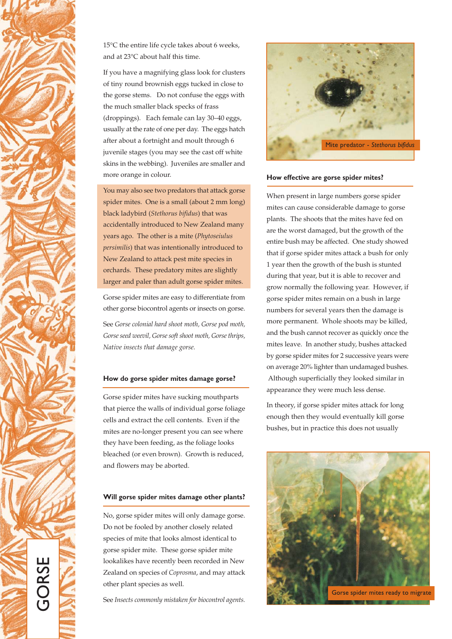

15°C the entire life cycle takes about 6 weeks, and at 23°C about half this time.

If you have a magnifying glass look for clusters of tiny round brownish eggs tucked in close to the gorse stems. Do not confuse the eggs with the much smaller black specks of frass (droppings). Each female can lay 30-40 eggs, usually at the rate of one per day. The eggs hatch after about a fortnight and moult through 6 juvenile stages (you may see the cast off white skins in the webbing). Juveniles are smaller and more orange in colour.

You may also see two predators that attack gorse spider mites. One is a small (about 2 mm long) black ladybird (Stethorus bifidus) that was accidentally introduced to New Zealand many years ago. The other is a mite (Phytoseiulus persimilis) that was intentionally introduced to New Zealand to attack pest mite species in orchards. These predatory mites are slightly larger and paler than adult gorse spider mites.

Gorse spider mites are easy to differentiate from other gorse biocontrol agents or insects on gorse.

See Gorse colonial hard shoot moth, Gorse pod moth, Gorse seed weevil, Gorse soft shoot moth, Gorse thrips, Native insects that damage gorse.

## How do gorse spider mites damage gorse?

Gorse spider mites have sucking mouthparts that pierce the walls of individual gorse foliage cells and extract the cell contents. Even if the mites are no-longer present you can see where they have been feeding, as the foliage looks bleached (or even brown). Growth is reduced, and flowers may be aborted.

#### Will gorse spider mites damage other plants?

No, gorse spider mites will only damage gorse. Do not be fooled by another closely related species of mite that looks almost identical to gorse spider mite. These gorse spider mite lookalikes have recently been recorded in New Zealand on species of Coprosma, and may attack other plant species as well.

See Insects commonly mistaken for biocontrol agents.



#### How effective are gorse spider mites?

When present in large numbers gorse spider mites can cause considerable damage to gorse plants. The shoots that the mites have fed on are the worst damaged, but the growth of the entire bush may be affected. One study showed that if gorse spider mites attack a bush for only 1 year then the growth of the bush is stunted during that year, but it is able to recover and grow normally the following year. However, if gorse spider mites remain on a bush in large numbers for several years then the damage is more permanent. Whole shoots may be killed, and the bush cannot recover as quickly once the mites leave. In another study, bushes attacked by gorse spider mites for 2 successive years were on average 20% lighter than undamaged bushes. Although superficially they looked similar in appearance they were much less dense.

In theory, if gorse spider mites attack for long enough then they would eventually kill gorse bushes, but in practice this does not usually